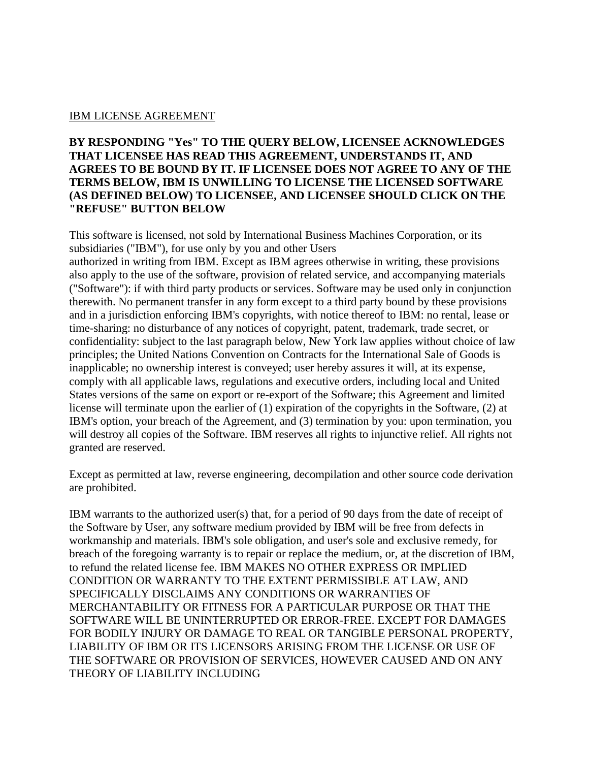## IBM LICENSE AGREEMENT

## **BY RESPONDING "Yes" TO THE QUERY BELOW, LICENSEE ACKNOWLEDGES THAT LICENSEE HAS READ THIS AGREEMENT, UNDERSTANDS IT, AND AGREES TO BE BOUND BY IT. IF LICENSEE DOES NOT AGREE TO ANY OF THE TERMS BELOW, IBM IS UNWILLING TO LICENSE THE LICENSED SOFTWARE (AS DEFINED BELOW) TO LICENSEE, AND LICENSEE SHOULD CLICK ON THE "REFUSE" BUTTON BELOW**

This software is licensed, not sold by International Business Machines Corporation, or its subsidiaries ("IBM"), for use only by you and other Users

authorized in writing from IBM. Except as IBM agrees otherwise in writing, these provisions also apply to the use of the software, provision of related service, and accompanying materials ("Software"): if with third party products or services. Software may be used only in conjunction therewith. No permanent transfer in any form except to a third party bound by these provisions and in a jurisdiction enforcing IBM's copyrights, with notice thereof to IBM: no rental, lease or time-sharing: no disturbance of any notices of copyright, patent, trademark, trade secret, or confidentiality: subject to the last paragraph below, New York law applies without choice of law principles; the United Nations Convention on Contracts for the International Sale of Goods is inapplicable; no ownership interest is conveyed; user hereby assures it will, at its expense, comply with all applicable laws, regulations and executive orders, including local and United States versions of the same on export or re-export of the Software; this Agreement and limited license will terminate upon the earlier of (1) expiration of the copyrights in the Software, (2) at IBM's option, your breach of the Agreement, and (3) termination by you: upon termination, you will destroy all copies of the Software. IBM reserves all rights to injunctive relief. All rights not granted are reserved.

Except as permitted at law, reverse engineering, decompilation and other source code derivation are prohibited.

IBM warrants to the authorized user(s) that, for a period of 90 days from the date of receipt of the Software by User, any software medium provided by IBM will be free from defects in workmanship and materials. IBM's sole obligation, and user's sole and exclusive remedy, for breach of the foregoing warranty is to repair or replace the medium, or, at the discretion of IBM, to refund the related license fee. IBM MAKES NO OTHER EXPRESS OR IMPLIED CONDITION OR WARRANTY TO THE EXTENT PERMISSIBLE AT LAW, AND SPECIFICALLY DISCLAIMS ANY CONDITIONS OR WARRANTIES OF MERCHANTABILITY OR FITNESS FOR A PARTICULAR PURPOSE OR THAT THE SOFTWARE WILL BE UNINTERRUPTED OR ERROR-FREE. EXCEPT FOR DAMAGES FOR BODILY INJURY OR DAMAGE TO REAL OR TANGIBLE PERSONAL PROPERTY, LIABILITY OF IBM OR ITS LICENSORS ARISING FROM THE LICENSE OR USE OF THE SOFTWARE OR PROVISION OF SERVICES, HOWEVER CAUSED AND ON ANY THEORY OF LIABILITY INCLUDING